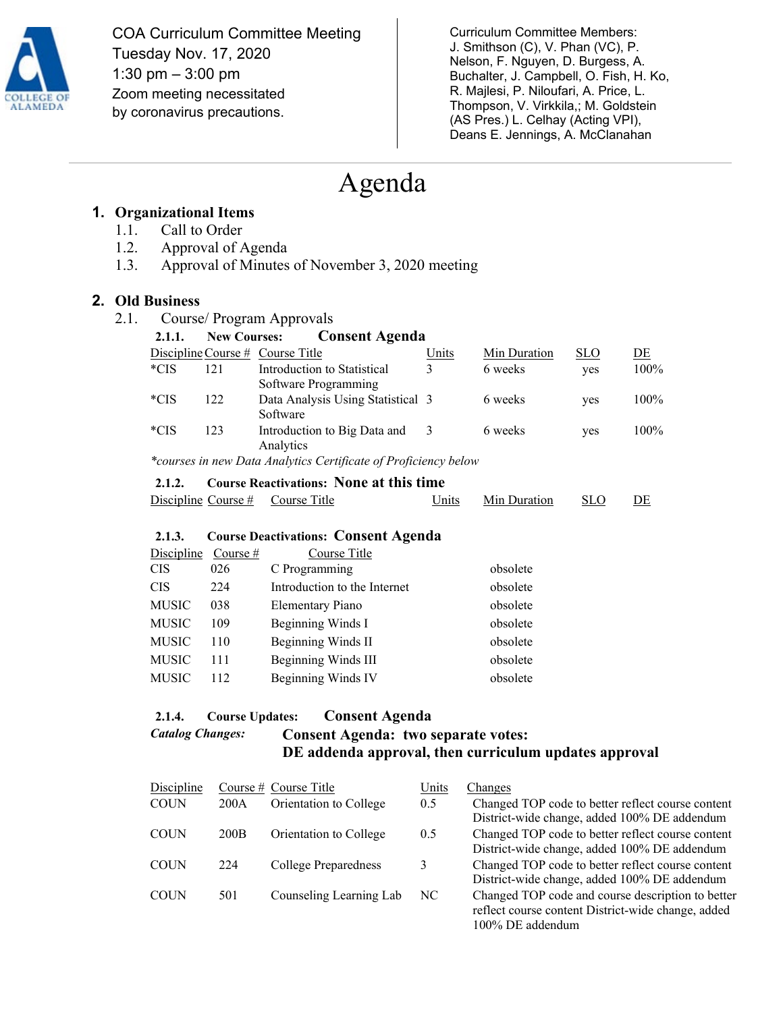

COA Curriculum Committee Meeting Tuesday Nov. 17, 2020 1:30 pm – 3:00 pm Zoom meeting necessitated by coronavirus precautions.

Curriculum Committee Members: J. Smithson (C), V. Phan (VC), P. Nelson, F. Nguyen, D. Burgess, A. Buchalter, J. Campbell, O. Fish, H. Ko, R. Majlesi, P. Niloufari, A. Price, L. Thompson, V. Virkkila,; M. Goldstein (AS Pres.) L. Celhay (Acting VPI), Deans E. Jennings, A. McClanahan

# Agenda

# **1. Organizational Items**

- 1.1. Call to Order
- 1.2. Approval of Agenda
- 1.3. Approval of Minutes of November 3, 2020 meeting

## **2. Old Business**

2.1. Course/ Program Approvals

| 2.1.1. | <b>New Courses:</b>                            | <b>Consent Agenda</b>                                           |       |              |            |      |
|--------|------------------------------------------------|-----------------------------------------------------------------|-------|--------------|------------|------|
|        |                                                | Discipline Course $#$ Course Title                              | Units | Min Duration | <b>SLO</b> | DE   |
| $*CIS$ | 121                                            | Introduction to Statistical<br>Software Programming             | 3     | 6 weeks      | yes        | 100% |
| $*CIS$ | 122                                            | Data Analysis Using Statistical 3<br>Software                   |       | 6 weeks      | yes        | 100% |
| $*CIS$ | 123                                            | Introduction to Big Data and<br>Analytics                       | -3    | 6 weeks      | yes        | 100% |
|        |                                                | *courses in new Data Analytics Certificate of Proficiency below |       |              |            |      |
| 2.1.2. | <b>Course Reactivations: None at this time</b> |                                                                 |       |              |            |      |

# Discipline Course # Course Title Units Min Duration SLO DE

#### **2.1.3. Course Deactivations: Consent Agenda**

| Discipline Course# |     | Course Title                 |          |
|--------------------|-----|------------------------------|----------|
| CIS                | 026 | C Programming                | obsolete |
| CIS                | 224 | Introduction to the Internet | obsolete |
| MUSIC              | 038 | <b>Elementary Piano</b>      | obsolete |
| MUSIC              | 109 | Beginning Winds I            | obsolete |
| MUSIC              | 110 | Beginning Winds II           | obsolete |
| MUSIC              | 111 | Beginning Winds III          | obsolete |
| MUSIC              | 112 | Beginning Winds IV           | obsolete |

# **2.1.4. Course Updates: Consent Agenda**  *Catalog Changes:* **Consent Agenda: two separate votes: DE addenda approval, then curriculum updates approval**

| Discipline  |                  | Course $#$ Course Title | Units         | Changes                                                                                                                     |
|-------------|------------------|-------------------------|---------------|-----------------------------------------------------------------------------------------------------------------------------|
| <b>COUN</b> | 200A             | Orientation to College  | 0.5           | Changed TOP code to better reflect course content<br>District-wide change, added 100% DE addendum                           |
| <b>COUN</b> | 200 <sub>B</sub> | Orientation to College  | $0.5^{\circ}$ | Changed TOP code to better reflect course content<br>District-wide change, added 100% DE addendum                           |
| <b>COUN</b> | 224              | College Preparedness    | 3             | Changed TOP code to better reflect course content<br>District-wide change, added 100% DE addendum                           |
| <b>COUN</b> | 501              | Counseling Learning Lab | NC            | Changed TOP code and course description to better<br>reflect course content District-wide change, added<br>100% DE addendum |